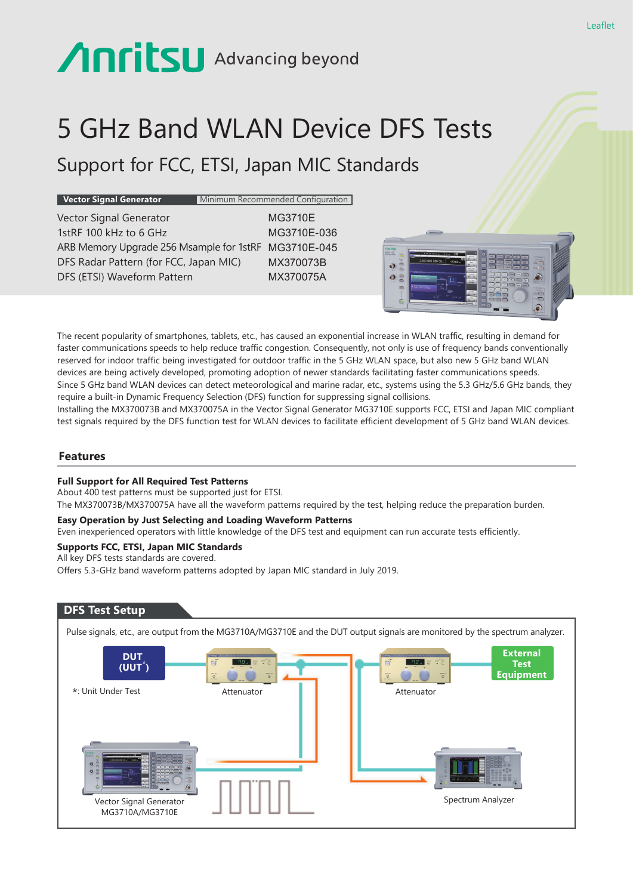# 5 GHz Band WLAN Device DFS Tests

# Support for FCC, ETSI, Japan MIC Standards

**Vector Signal Generator** Minimum Recommended Configuration

Vector Signal Generator MG3710E 1stRF 100 kHz to 6 GHz MG3710E-036 ARB Memory Upgrade 256 Msample for 1stRF MG3710E-045 DFS Radar Pattern (for FCC, Japan MIC) MX370073B DFS (ETSI) Waveform Pattern MX370075A



The recent popularity of smartphones, tablets, etc., has caused an exponential increase in WLAN traffic, resulting in demand for faster communications speeds to help reduce traffic congestion. Consequently, not only is use of frequency bands conventionally reserved for indoor traffic being investigated for outdoor traffic in the 5 GHz WLAN space, but also new 5 GHz band WLAN devices are being actively developed, promoting adoption of newer standards facilitating faster communications speeds. Since 5 GHz band WLAN devices can detect meteorological and marine radar, etc., systems using the 5.3 GHz/5.6 GHz bands, they require a built-in Dynamic Frequency Selection (DFS) function for suppressing signal collisions.

Installing the MX370073B and MX370075A in the Vector Signal Generator MG3710E supports FCC, ETSI and Japan MIC compliant test signals required by the DFS function test for WLAN devices to facilitate efficient development of 5 GHz band WLAN devices.

#### **Features**

#### **Full Support for All Required Test Patterns**

About 400 test patterns must be supported just for ETSI. The MX370073B/MX370075A have all the waveform patterns required by the test, helping reduce the preparation burden.

#### **Easy Operation by Just Selecting and Loading Waveform Patterns**

Even inexperienced operators with little knowledge of the DFS test and equipment can run accurate tests efficiently.

#### **Supports FCC, ETSI, Japan MIC Standards**

All key DFS tests standards are covered.

Offers 5.3-GHz band waveform patterns adopted by Japan MIC standard in July 2019.

### **DFS Test Setup**